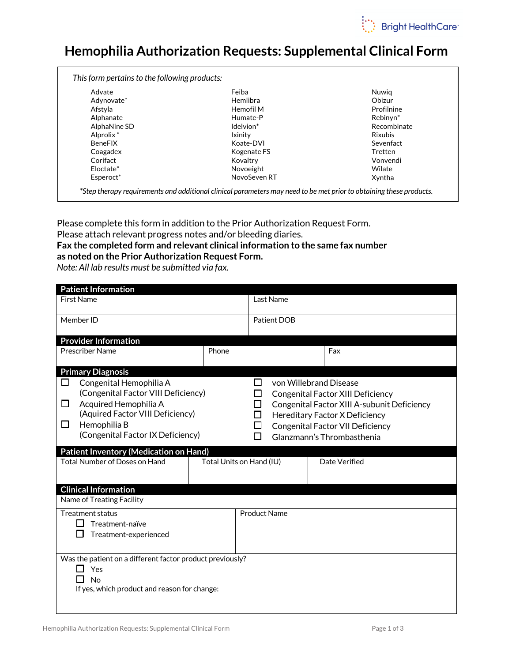

## Hemophilia Authorization Requests: Supplemental Clinical Form

| Advate                | Feiba        | Nuwia                |
|-----------------------|--------------|----------------------|
| Adynovate*            | Hemlibra     | Obizur               |
| Afstyla               | Hemofil M    | Profilnine           |
| Alphanate             | Humate-P     | Rebinvn <sup>*</sup> |
| AlphaNine SD          | Idelvion*    | Recombinate          |
| Alprolix <sup>*</sup> | Ixinity      | Rixubis              |
| <b>BeneFIX</b>        | Koate-DVI    | Sevenfact            |
| Coagadex              | Kogenate FS  | Tretten              |
| Corifact              | Kovaltry     | Vonvendi             |
| Eloctate*             | Novoeight    | Wilate               |
| Esperoct*             | NovoSeven RT | Xyntha               |

Please complete this form in addition to the Prior Authorization Request Form.

Please attach relevant progress notes and/or bleeding diaries.

## Fax the completed form and relevant clinical information to the same fax number as noted on the Prior Authorization Request Form.

Note: All lab results must be submitted via fax.

| <b>Patient Information</b>                                                                                                                                                                                                                                                             |                          |                                         |                        |  |                                                                                                                                                                                                                     |
|----------------------------------------------------------------------------------------------------------------------------------------------------------------------------------------------------------------------------------------------------------------------------------------|--------------------------|-----------------------------------------|------------------------|--|---------------------------------------------------------------------------------------------------------------------------------------------------------------------------------------------------------------------|
| <b>First Name</b>                                                                                                                                                                                                                                                                      |                          | Last Name                               |                        |  |                                                                                                                                                                                                                     |
| Member ID                                                                                                                                                                                                                                                                              |                          | <b>Patient DOB</b>                      |                        |  |                                                                                                                                                                                                                     |
|                                                                                                                                                                                                                                                                                        |                          |                                         |                        |  |                                                                                                                                                                                                                     |
| <b>Provider Information</b><br><b>Prescriber Name</b>                                                                                                                                                                                                                                  | Phone                    |                                         |                        |  | Fax                                                                                                                                                                                                                 |
|                                                                                                                                                                                                                                                                                        |                          |                                         |                        |  |                                                                                                                                                                                                                     |
| <b>Primary Diagnosis</b>                                                                                                                                                                                                                                                               |                          |                                         |                        |  |                                                                                                                                                                                                                     |
| Congenital Hemophilia A<br>ப<br>(Congenital Factor VIII Deficiency)<br>Acquired Hemophilia A<br>$\Box$<br>(Aquired Factor VIII Deficiency)<br>Hemophilia B<br>□<br>(Congenital Factor IX Deficiency)<br>Patient Inventory (Medication on Hand)<br><b>Total Number of Doses on Hand</b> | Total Units on Hand (IU) | П<br>LI<br>$\Box$<br>$\Box$<br>П<br>l l | von Willebrand Disease |  | <b>Congenital Factor XIII Deficiency</b><br>Congenital Factor XIII A-subunit Deficiency<br>Hereditary Factor X Deficiency<br><b>Congenital Factor VII Deficiency</b><br>Glanzmann's Thrombasthenia<br>Date Verified |
| <b>Clinical Information</b><br>Name of Treating Facility                                                                                                                                                                                                                               |                          |                                         |                        |  |                                                                                                                                                                                                                     |
| <b>Treatment status</b><br>Treatment-naïve<br>Treatment-experienced                                                                                                                                                                                                                    |                          | <b>Product Name</b>                     |                        |  |                                                                                                                                                                                                                     |
| Was the patient on a different factor product previously?<br>Yes<br><b>No</b><br>If yes, which product and reason for change:                                                                                                                                                          |                          |                                         |                        |  |                                                                                                                                                                                                                     |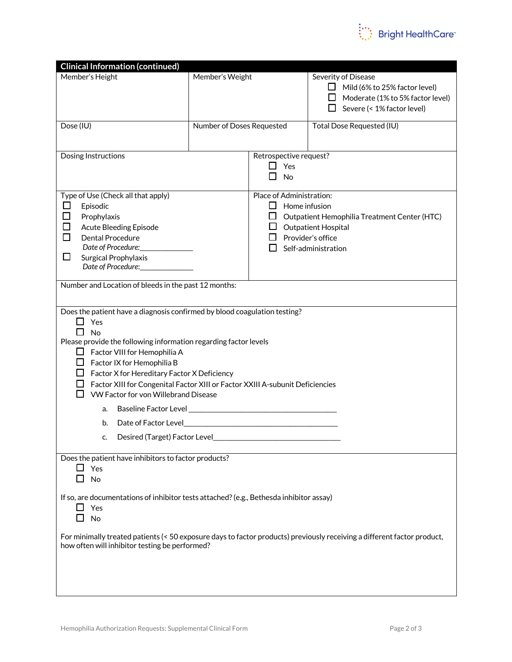

| <b>Clinical Information (continued)</b>                                                                                                                                                                                                                                                                                                                                                                                                                                                                                                                         |                           |                                                                                                                                                                                          |                                                                                                                                             |  |  |  |
|-----------------------------------------------------------------------------------------------------------------------------------------------------------------------------------------------------------------------------------------------------------------------------------------------------------------------------------------------------------------------------------------------------------------------------------------------------------------------------------------------------------------------------------------------------------------|---------------------------|------------------------------------------------------------------------------------------------------------------------------------------------------------------------------------------|---------------------------------------------------------------------------------------------------------------------------------------------|--|--|--|
| Member's Height                                                                                                                                                                                                                                                                                                                                                                                                                                                                                                                                                 | Member's Weight           |                                                                                                                                                                                          | Severity of Disease<br>$\Box$ Mild (6% to 25% factor level)<br>$\Box$ Moderate (1% to 5% factor level)<br>$\Box$ Severe (< 1% factor level) |  |  |  |
| Dose (IU)                                                                                                                                                                                                                                                                                                                                                                                                                                                                                                                                                       | Number of Doses Requested |                                                                                                                                                                                          | Total Dose Requested (IU)                                                                                                                   |  |  |  |
| Dosing Instructions                                                                                                                                                                                                                                                                                                                                                                                                                                                                                                                                             |                           | Retrospective request?<br>$\Box$ Yes<br>П<br><b>No</b>                                                                                                                                   |                                                                                                                                             |  |  |  |
| Type of Use (Check all that apply)<br>$\Box$<br>Episodic<br>□<br>Prophylaxis<br>□<br><b>Acute Bleeding Episode</b><br>□<br>Dental Procedure<br>Date of Procedure:<br>ப<br>Surgical Prophylaxis<br>Date of Procedure:                                                                                                                                                                                                                                                                                                                                            |                           | Place of Administration:<br>$\Box$ Home infusion<br>$\Box$ Outpatient Hemophilia Treatment Center (HTC)<br>$\Box$ Outpatient Hospital<br>$\Box$ Provider's office<br>Self-administration |                                                                                                                                             |  |  |  |
| Number and Location of bleeds in the past 12 months:                                                                                                                                                                                                                                                                                                                                                                                                                                                                                                            |                           |                                                                                                                                                                                          |                                                                                                                                             |  |  |  |
| Does the patient have a diagnosis confirmed by blood coagulation testing?<br>П<br>Yes<br>No<br>LΙ<br>Please provide the following information regarding factor levels<br>$\Box$ Factor VIII for Hemophilia A<br>$\Box$ Factor IX for Hemophilia B<br>$\Box$ Factor X for Hereditary Factor X Deficiency<br>Factor XIII for Congenital Factor XIII or Factor XXIII A-subunit Deficiencies<br>VW Factor for von Willebrand Disease<br>a.<br>Date of Factor Level <b>Executive Server Server Server Server Server</b><br>b.<br>Desired (Target) Factor Level<br>c. |                           |                                                                                                                                                                                          |                                                                                                                                             |  |  |  |
| Does the patient have inhibitors to factor products?<br>$\Box$ Yes<br>No                                                                                                                                                                                                                                                                                                                                                                                                                                                                                        |                           |                                                                                                                                                                                          |                                                                                                                                             |  |  |  |
| If so, are documentations of inhibitor tests attached? (e.g., Bethesda inhibitor assay)<br>$\Box$ Yes<br>No                                                                                                                                                                                                                                                                                                                                                                                                                                                     |                           |                                                                                                                                                                                          |                                                                                                                                             |  |  |  |
| For minimally treated patients (< 50 exposure days to factor products) previously receiving a different factor product,<br>how often will inhibitor testing be performed?                                                                                                                                                                                                                                                                                                                                                                                       |                           |                                                                                                                                                                                          |                                                                                                                                             |  |  |  |